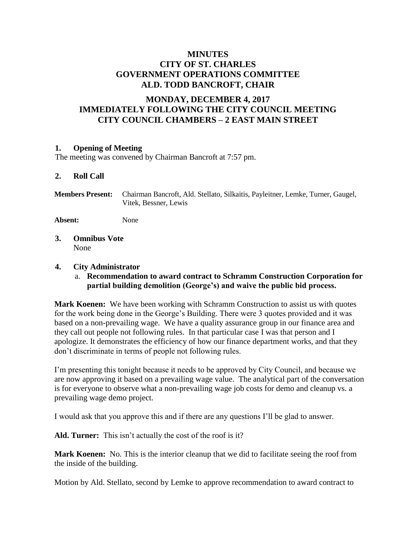# **MINUTES CITY OF ST. CHARLES GOVERNMENT OPERATIONS COMMITTEE ALD. TODD BANCROFT, CHAIR**

# **MONDAY, DECEMBER 4, 2017 IMMEDIATELY FOLLOWING THE CITY COUNCIL MEETING CITY COUNCIL CHAMBERS – 2 EAST MAIN STREET**

### **1. Opening of Meeting**

The meeting was convened by Chairman Bancroft at 7:57 pm.

### **2. Roll Call**

**Members Present:** Chairman Bancroft, Ald. Stellato, Silkaitis, Payleitner, Lemke, Turner, Gaugel, Vitek, Bessner, Lewis

**Absent:** None

**3. Omnibus Vote** None

#### **4. City Administrator**

a. **Recommendation to award contract to Schramm Construction Corporation for partial building demolition (George's) and waive the public bid process.**

**Mark Koenen:** We have been working with Schramm Construction to assist us with quotes for the work being done in the George's Building. There were 3 quotes provided and it was based on a non-prevailing wage. We have a quality assurance group in our finance area and they call out people not following rules. In that particular case I was that person and I apologize. It demonstrates the efficiency of how our finance department works, and that they don't discriminate in terms of people not following rules.

I'm presenting this tonight because it needs to be approved by City Council, and because we are now approving it based on a prevailing wage value. The analytical part of the conversation is for everyone to observe what a non-prevailing wage job costs for demo and cleanup vs. a prevailing wage demo project.

I would ask that you approve this and if there are any questions I'll be glad to answer.

**Ald. Turner:** This isn't actually the cost of the roof is it?

**Mark Koenen:** No. This is the interior cleanup that we did to facilitate seeing the roof from the inside of the building.

Motion by Ald. Stellato, second by Lemke to approve recommendation to award contract to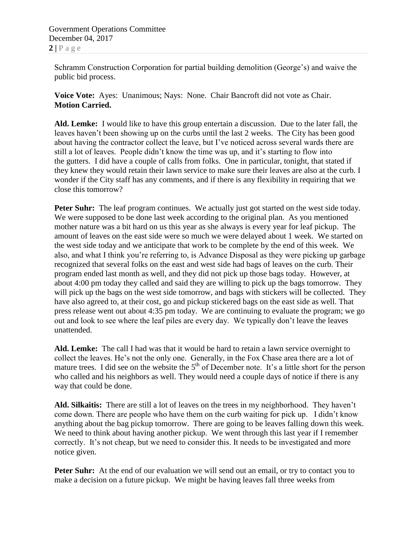Schramm Construction Corporation for partial building demolition (George's) and waive the public bid process.

**Voice Vote:** Ayes: Unanimous; Nays: None. Chair Bancroft did not vote as Chair. **Motion Carried.**

**Ald. Lemke:** I would like to have this group entertain a discussion. Due to the later fall, the leaves haven't been showing up on the curbs until the last 2 weeks. The City has been good about having the contractor collect the leave, but I've noticed across several wards there are still a lot of leaves. People didn't know the time was up, and it's starting to flow into the gutters. I did have a couple of calls from folks. One in particular, tonight, that stated if they knew they would retain their lawn service to make sure their leaves are also at the curb. I wonder if the City staff has any comments, and if there is any flexibility in requiring that we close this tomorrow?

**Peter Suhr:** The leaf program continues. We actually just got started on the west side today. We were supposed to be done last week according to the original plan. As you mentioned mother nature was a bit hard on us this year as she always is every year for leaf pickup. The amount of leaves on the east side were so much we were delayed about 1 week. We started on the west side today and we anticipate that work to be complete by the end of this week. We also, and what I think you're referring to, is Advance Disposal as they were picking up garbage recognized that several folks on the east and west side had bags of leaves on the curb. Their program ended last month as well, and they did not pick up those bags today. However, at about 4:00 pm today they called and said they are willing to pick up the bags tomorrow. They will pick up the bags on the west side tomorrow, and bags with stickers will be collected. They have also agreed to, at their cost, go and pickup stickered bags on the east side as well. That press release went out about 4:35 pm today. We are continuing to evaluate the program; we go out and look to see where the leaf piles are every day. We typically don't leave the leaves unattended.

**Ald. Lemke:** The call I had was that it would be hard to retain a lawn service overnight to collect the leaves. He's not the only one. Generally, in the Fox Chase area there are a lot of mature trees. I did see on the website the  $5<sup>th</sup>$  of December note. It's a little short for the person who called and his neighbors as well. They would need a couple days of notice if there is any way that could be done.

**Ald. Silkaitis:** There are still a lot of leaves on the trees in my neighborhood. They haven't come down. There are people who have them on the curb waiting for pick up. I didn't know anything about the bag pickup tomorrow. There are going to be leaves falling down this week. We need to think about having another pickup. We went through this last year if I remember correctly. It's not cheap, but we need to consider this. It needs to be investigated and more notice given.

Peter Suhr: At the end of our evaluation we will send out an email, or try to contact you to make a decision on a future pickup. We might be having leaves fall three weeks from